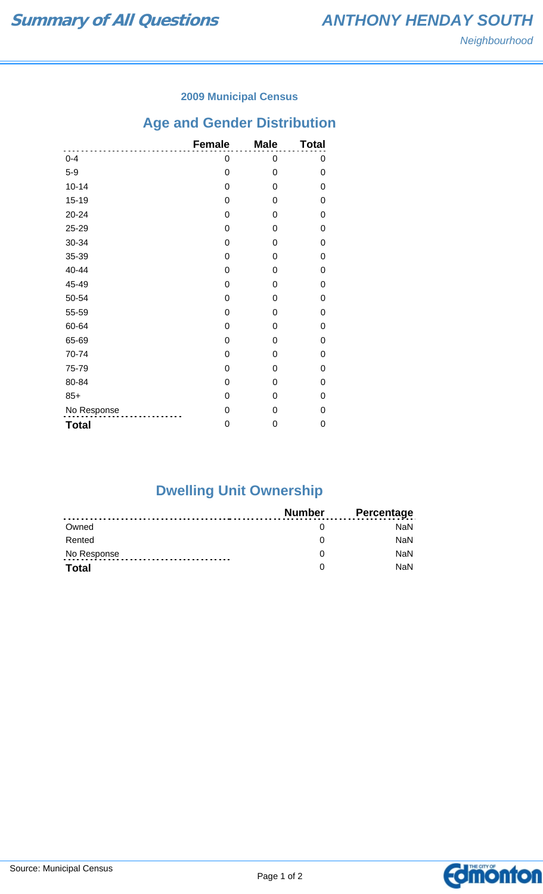### **2009 Municipal Census**

# **Age and Gender Distribution**

|              | <b>Female</b> | <b>Male</b> | <b>Total</b> |
|--------------|---------------|-------------|--------------|
| $0 - 4$      | 0             | 0           | 0            |
| $5-9$        | 0             | 0           | 0            |
| $10 - 14$    | 0             | 0           | 0            |
| $15 - 19$    | 0             | 0           | 0            |
| 20-24        | 0             | 0           | 0            |
| 25-29        | 0             | 0           | 0            |
| 30-34        | 0             | 0           | 0            |
| 35-39        | 0             | 0           | 0            |
| 40-44        | 0             | 0           | 0            |
| 45-49        | 0             | 0           | 0            |
| 50-54        | 0             | 0           | 0            |
| 55-59        | 0             | 0           | 0            |
| 60-64        | 0             | 0           | 0            |
| 65-69        | 0             | 0           | 0            |
| 70-74        | 0             | 0           | 0            |
| 75-79        | 0             | 0           | 0            |
| 80-84        | 0             | 0           | 0            |
| $85+$        | 0             | 0           | 0            |
| No Response  | 0             | 0           | 0            |
| <b>Total</b> | 0             | 0           | 0            |

# **Dwelling Unit Ownership**

|              | Number | <b>Percentage</b> |
|--------------|--------|-------------------|
| Owned        |        | NaN.              |
| Rented       |        | <b>NaN</b>        |
| No Response  |        | <b>NaN</b>        |
| <b>Total</b> |        | <b>NaN</b>        |